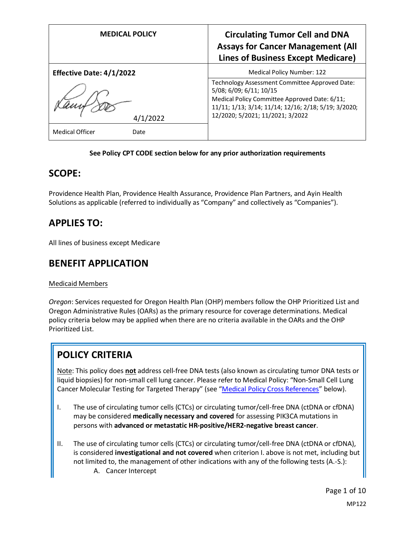| <b>MEDICAL POLICY</b>           | <b>Circulating Tumor Cell and DNA</b><br><b>Assays for Cancer Management (All</b><br><b>Lines of Business Except Medicare)</b>                                                                                         |
|---------------------------------|------------------------------------------------------------------------------------------------------------------------------------------------------------------------------------------------------------------------|
| <b>Effective Date: 4/1/2022</b> | <b>Medical Policy Number: 122</b>                                                                                                                                                                                      |
| 4/1/2022                        | Technology Assessment Committee Approved Date:<br>5/08; 6/09; 6/11; 10/15<br>Medical Policy Committee Approved Date: 6/11;<br>11/11; 1/13; 3/14; 11/14; 12/16; 2/18; 5/19; 3/2020;<br>12/2020; 5/2021; 11/2021; 3/2022 |
| Medical Officer<br>Date         |                                                                                                                                                                                                                        |

### **See Policy CPT CODE section below for any prior authorization requirements**

### **SCOPE:**

Providence Health Plan, Providence Health Assurance, Providence Plan Partners, and Ayin Health Solutions as applicable (referred to individually as "Company" and collectively as "Companies").

## **APPLIES TO:**

All lines of business except Medicare

### **BENEFIT APPLICATION**

### Medicaid Members

*Oregon*: Services requested for Oregon Health Plan (OHP) members follow the OHP Prioritized List and Oregon Administrative Rules (OARs) as the primary resource for coverage determinations. Medical policy criteria below may be applied when there are no criteria available in the OARs and the OHP Prioritized List.

# **POLICY CRITERIA**

Note: This policy does **not** address cell-free DNA tests (also known as circulating tumor DNA tests or liquid biopsies) for non-small cell lung cancer. Please refer to Medical Policy: "Non-Small Cell Lung Cancer Molecular Testing for Targeted Therapy" (see "[Medical Policy Cross References](#page-7-0)" below).

- I. The use of circulating tumor cells (CTCs) or circulating tumor/cell-free DNA (ctDNA or cfDNA) may be considered **medically necessary and covered** for assessing PIK3CA mutations in persons with **advanced or metastatic HR-positive/HER2-negative breast cancer**.
- II. The use of circulating tumor cells (CTCs) or circulating tumor/cell-free DNA (ctDNA or cfDNA), is considered **investigational and not covered** when criterion I. above is not met, including but not limited to, the management of other indications with any of the following tests (A.-S.):
	- A. Cancer Intercept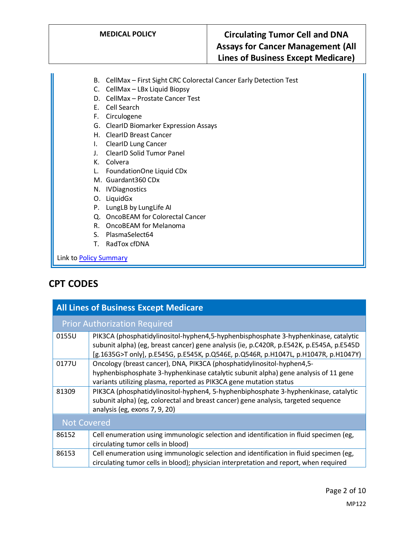- B. CellMax First Sight CRC Colorectal Cancer Early Detection Test
- C. CellMax LBx Liquid Biopsy
- D. CellMax Prostate Cancer Test
- E. Cell Search
- F. Circulogene
- G. ClearID Biomarker Expression Assays
- H. ClearID Breast Cancer
- I. ClearID Lung Cancer
- J. ClearID Solid Tumor Panel
- K. Colvera
- L. FoundationOne Liquid CDx
- M. Guardant360 CDx
- N. IVDiagnostics
- O. LiquidGx
- P. LungLB by LungLife AI
- Q. OncoBEAM for Colorectal Cancer
- R. OncoBEAM for Melanoma
- S. PlasmaSelect64
- T. RadTox cfDNA

Link t[o Policy Summary](#page-6-0)

# **CPT CODES**

| <b>All Lines of Business Except Medicare</b> |                                                                                                                                                                                                                                                                        |  |
|----------------------------------------------|------------------------------------------------------------------------------------------------------------------------------------------------------------------------------------------------------------------------------------------------------------------------|--|
| <b>Prior Authorization Required</b>          |                                                                                                                                                                                                                                                                        |  |
| 0155U                                        | PIK3CA (phosphatidylinositol-hyphen4,5-hyphenbisphosphate 3-hyphenkinase, catalytic<br>subunit alpha) (eg, breast cancer) gene analysis (ie, p.C420R, p.E542K, p.E545A, p.E545D<br>[g.1635G>T only], p.E545G, p.E545K, p.Q546E, p.Q546R, p.H1047L, p.H1047R, p.H1047Y) |  |
| 0177U                                        | Oncology (breast cancer), DNA, PIK3CA (phosphatidylinositol-hyphen4,5-<br>hyphenbisphosphate 3-hyphenkinase catalytic subunit alpha) gene analysis of 11 gene<br>variants utilizing plasma, reported as PIK3CA gene mutation status                                    |  |
| 81309                                        | PIK3CA (phosphatidylinositol-hyphen4, 5-hyphenbiphosphate 3-hyphenkinase, catalytic<br>subunit alpha) (eg, colorectal and breast cancer) gene analysis, targeted sequence<br>analysis (eg, exons 7, 9, 20)                                                             |  |
| Not Covered                                  |                                                                                                                                                                                                                                                                        |  |
| 86152                                        | Cell enumeration using immunologic selection and identification in fluid specimen (eg,<br>circulating tumor cells in blood)                                                                                                                                            |  |
| 86153                                        | Cell enumeration using immunologic selection and identification in fluid specimen (eg,<br>circulating tumor cells in blood); physician interpretation and report, when required                                                                                        |  |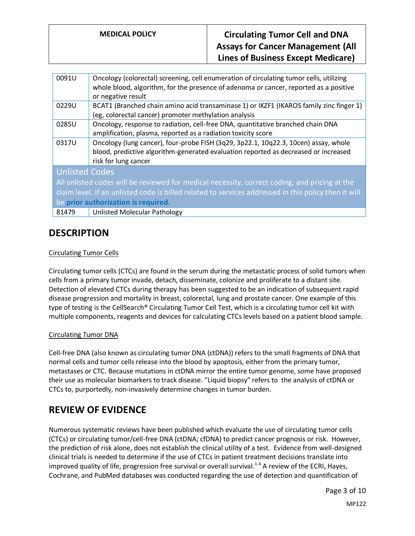| 0091U                                                                                                | Oncology (colorectal) screening, cell enumeration of circulating tumor cells, utilizing<br>whole blood, algorithm, for the presence of adenoma or cancer, reported as a positive<br>or negative result |
|------------------------------------------------------------------------------------------------------|--------------------------------------------------------------------------------------------------------------------------------------------------------------------------------------------------------|
| 0229U                                                                                                | BCAT1 (Branched chain amino acid transaminase 1) or IKZF1 (IKAROS family zinc finger 1)<br>(eg, colorectal cancer) promoter methylation analysis                                                       |
| 0285U                                                                                                | Oncology, response to radiation, cell-free DNA, quantitative branched chain DNA<br>amplification, plasma, reported as a radiation toxicity score                                                       |
| 0317U                                                                                                | Oncology (lung cancer), four-probe FISH (3q29, 3p22.1, 10q22.3, 10cen) assay, whole<br>blood, predictive algorithm-generated evaluation reported as decreased or increased<br>risk for lung cancer     |
| <b>Unlisted Codes</b>                                                                                |                                                                                                                                                                                                        |
| All unlisted codes will be reviewed for medical necessity, correct coding, and pricing at the        |                                                                                                                                                                                                        |
| claim level. If an unlisted code is billed related to services addressed in this policy then it will |                                                                                                                                                                                                        |
| be prior authorization is required.                                                                  |                                                                                                                                                                                                        |

81479 | Unlisted Molecular Pathology

### **DESCRIPTION**

### Circulating Tumor Cells

Circulating tumor cells (CTCs) are found in the serum during the metastatic process of solid tumors when cells from a primary tumor invade, detach, disseminate, colonize and proliferate to a distant site. Detection of elevated CTCs during therapy has been suggested to be an indication of subsequent rapid disease progression and mortality in breast, colorectal, lung and prostate cancer. One example of this type of testing is the CellSearch® Circulating Tumor Cell Test, which is a circulating tumor cell kit with multiple components, reagents and devices for calculating CTCs levels based on a patient blood sample.

#### Circulating Tumor DNA

Cell-free DNA (also known as circulating tumor DNA (ctDNA)) refers to the small fragments of DNA that normal cells and tumor cells release into the blood by apoptosis, either from the primary tumor, metastases or CTC. Because mutations in ctDNA mirror the entire tumor genome, some have proposed their use as molecular biomarkers to track disease. "Liquid biopsy" refers to the analysis of ctDNA or CTCs to, purportedly, non-invasively determine changes in tumor burden.

### **REVIEW OF EVIDENCE**

Numerous systematic reviews have been published which evaluate the use of circulating tumor cells (CTCs) or circulating tumor/cell-free DNA (ctDNA; cfDNA) to predict cancer prognosis or risk. However, the prediction of risk alone, does not establish the clinical utility of a test. Evidence from well-designed clinical trials is needed to determine if the use of CTCs in patient treatment decisions translate into improved quality of life, progression free survival or overall survival.<sup>1-4</sup> A review of the ECRI, Haves, Cochrane, and PubMed databases was conducted regarding the use of detection and quantification of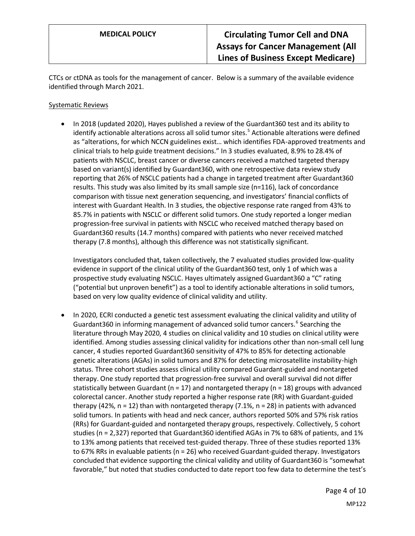CTCs or ctDNA as tools for the management of cancer. Below is a summary of the available evidence identified through March 2021.

#### Systematic Reviews

• In 2018 (updated 2020), Hayes published a review of the Guardant360 test and its ability to identify actionable alterations across all solid tumor sites.<sup>5</sup> Actionable alterations were defined as "alterations, for which NCCN guidelines exist… which identifies FDA-approved treatments and clinical trials to help guide treatment decisions." In 3 studies evaluated, 8.9% to 28.4% of patients with NSCLC, breast cancer or diverse cancers received a matched targeted therapy based on variant(s) identified by Guardant360, with one retrospective data review study reporting that 26% of NSCLC patients had a change in targeted treatment after Guardant360 results. This study was also limited by its small sample size (n=116), lack of concordance comparison with tissue next generation sequencing, and investigators' financial conflicts of interest with Guardant Health. In 3 studies, the objective response rate ranged from 43% to 85.7% in patients with NSCLC or different solid tumors. One study reported a longer median progression-free survival in patients with NSCLC who received matched therapy based on Guardant360 results (14.7 months) compared with patients who never received matched therapy (7.8 months), although this difference was not statistically significant.

Investigators concluded that, taken collectively, the 7 evaluated studies provided low-quality evidence in support of the clinical utility of the Guardant360 test, only 1 of which was a prospective study evaluating NSCLC. Hayes ultimately assigned Guardant360 a "C" rating ("potential but unproven benefit") as a tool to identify actionable alterations in solid tumors, based on very low quality evidence of clinical validity and utility.

• In 2020, ECRI conducted a genetic test assessment evaluating the clinical validity and utility of Guardant360 in informing management of advanced solid tumor cancers.<sup>6</sup> Searching the literature through May 2020, 4 studies on clinical validity and 10 studies on clinical utility were identified. Among studies assessing clinical validity for indications other than non-small cell lung cancer, 4 studies reported Guardant360 sensitivity of 47% to 85% for detecting actionable genetic alterations (AGAs) in solid tumors and 87% for detecting microsatellite instability-high status. Three cohort studies assess clinical utility compared Guardant-guided and nontargeted therapy. One study reported that progression-free survival and overall survival did not differ statistically between Guardant ( $n = 17$ ) and nontargeted therapy ( $n = 18$ ) groups with advanced colorectal cancer. Another study reported a higher response rate (RR) with Guardant-guided therapy (42%,  $n = 12$ ) than with nontargeted therapy (7.1%,  $n = 28$ ) in patients with advanced solid tumors. In patients with head and neck cancer, authors reported 50% and 57% risk ratios (RRs) for Guardant-guided and nontargeted therapy groups, respectively. Collectively, 5 cohort studies (n = 2,327) reported that Guardant360 identified AGAs in 7% to 68% of patients, and 1% to 13% among patients that received test-guided therapy. Three of these studies reported 13% to 67% RRs in evaluable patients (n = 26) who received Guardant-guided therapy. Investigators concluded that evidence supporting the clinical validity and utility of Guardant360 is "somewhat favorable," but noted that studies conducted to date report too few data to determine the test's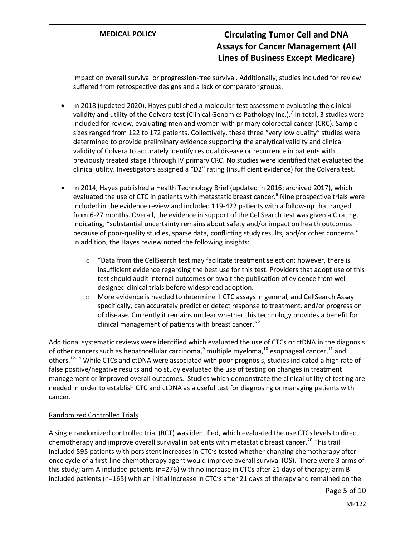impact on overall survival or progression-free survival. Additionally, studies included for review suffered from retrospective designs and a lack of comparator groups.

- In 2018 (updated 2020), Hayes published a molecular test assessment evaluating the clinical validity and utility of the Colvera test (Clinical Genomics Pathology Inc.).<sup>7</sup> In total, 3 studies were included for review, evaluating men and women with primary colorectal cancer (CRC). Sample sizes ranged from 122 to 172 patients. Collectively, these three "very low quality" studies were determined to provide preliminary evidence supporting the analytical validity and clinical validity of Colvera to accurately identify residual disease or recurrence in patients with previously treated stage I through IV primary CRC. No studies were identified that evaluated the clinical utility. Investigators assigned a "D2" rating (insufficient evidence) for the Colvera test.
- In 2014, Hayes published a Health Technology Brief (updated in 2016; archived 2017), which evaluated the use of CTC in patients with metastatic breast cancer.<sup>8</sup> Nine prospective trials were included in the evidence review and included 119-422 patients with a follow-up that ranged from 6-27 months. Overall, the evidence in support of the CellSearch test was given a C rating, indicating, "substantial uncertainty remains about safety and/or impact on health outcomes because of poor-quality studies, sparse data, conflicting study results, and/or other concerns." In addition, the Hayes review noted the following insights:
	- $\circ$  "Data from the CellSearch test may facilitate treatment selection; however, there is insufficient evidence regarding the best use for this test. Providers that adopt use of this test should audit internal outcomes or await the publication of evidence from welldesigned clinical trials before widespread adoption.
	- o More evidence is needed to determine if CTC assays in general, and CellSearch Assay specifically, can accurately predict or detect response to treatment, and/or progression of disease. Currently it remains unclear whether this technology provides a benefit for clinical management of patients with breast cancer."<sup>2</sup>

Additional systematic reviews were identified which evaluated the use of CTCs or ctDNA in the diagnosis of other cancers such as hepatocellular carcinoma,<sup>9</sup> multiple myeloma,<sup>10</sup> esophageal cancer,<sup>11</sup> and others.<sup>12-19</sup> While CTCs and ctDNA were associated with poor prognosis, studies indicated a high rate of false positive/negative results and no study evaluated the use of testing on changes in treatment management or improved overall outcomes. Studies which demonstrate the clinical utility of testing are needed in order to establish CTC and ctDNA as a useful test for diagnosing or managing patients with cancer.

### Randomized Controlled Trials

A single randomized controlled trial (RCT) was identified, which evaluated the use CTCs levels to direct chemotherapy and improve overall survival in patients with metastatic breast cancer.<sup>20</sup> This trail included 595 patients with persistent increases in CTC's tested whether changing chemotherapy after once cycle of a first-line chemotherapy agent would improve overall survival (OS). There were 3 arms of this study; arm A included patients (n=276) with no increase in CTCs after 21 days of therapy; arm B included patients (n=165) with an initial increase in CTC's after 21 days of therapy and remained on the

Page 5 of 10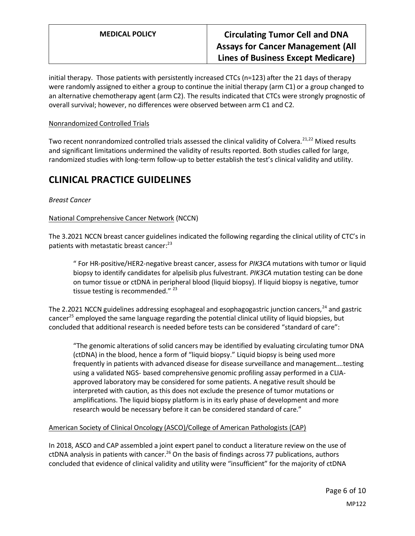initial therapy. Those patients with persistently increased CTCs (n=123) after the 21 days of therapy were randomly assigned to either a group to continue the initial therapy (arm C1) or a group changed to an alternative chemotherapy agent (arm C2). The results indicated that CTCs were strongly prognostic of overall survival; however, no differences were observed between arm C1 and C2.

#### Nonrandomized Controlled Trials

Two recent nonrandomized controlled trials assessed the clinical validity of Colvera.<sup>21,22</sup> Mixed results and significant limitations undermined the validity of results reported. Both studies called for large, randomized studies with long-term follow-up to better establish the test's clinical validity and utility.

### **CLINICAL PRACTICE GUIDELINES**

### *Breast Cancer*

#### National Comprehensive Cancer Network (NCCN)

The 3.2021 NCCN breast cancer guidelines indicated the following regarding the clinical utility of CTC's in patients with metastatic breast cancer:<sup>23</sup>

" For HR-positive/HER2-negative breast cancer, assess for *PIK3CA* mutations with tumor or liquid biopsy to identify candidates for alpelisib plus fulvestrant. *PIK3CA* mutation testing can be done on tumor tissue or ctDNA in peripheral blood (liquid biopsy). If liquid biopsy is negative, tumor tissue testing is recommended."  $23$ 

The 2.2021 NCCN guidelines addressing esophageal and esophagogastric junction cancers,<sup>24</sup> and gastric cancer<sup>25</sup> employed the same language regarding the potential clinical utility of liquid biopsies, but concluded that additional research is needed before tests can be considered "standard of care":

"The genomic alterations of solid cancers may be identified by evaluating circulating tumor DNA (ctDNA) in the blood, hence a form of "liquid biopsy." Liquid biopsy is being used more frequently in patients with advanced disease for disease surveillance and management….testing using a validated NGS- based comprehensive genomic profiling assay performed in a CLIAapproved laboratory may be considered for some patients. A negative result should be interpreted with caution, as this does not exclude the presence of tumor mutations or amplifications. The liquid biopsy platform is in its early phase of development and more research would be necessary before it can be considered standard of care."

#### American Society of Clinical Oncology (ASCO)/College of American Pathologists (CAP)

In 2018, ASCO and CAP assembled a joint expert panel to conduct a literature review on the use of ctDNA analysis in patients with cancer.<sup>26</sup> On the basis of findings across 77 publications, authors concluded that evidence of clinical validity and utility were "insufficient" for the majority of ctDNA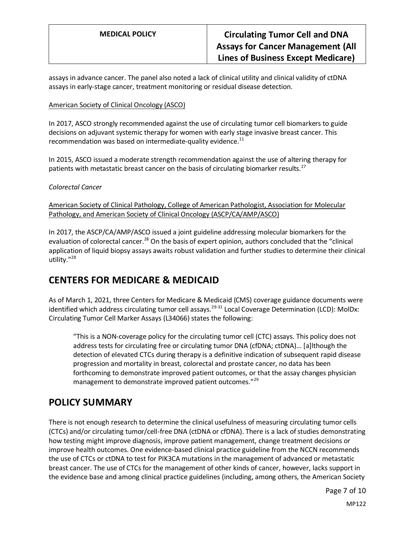assays in advance cancer. The panel also noted a lack of clinical utility and clinical validity of ctDNA assays in early-stage cancer, treatment monitoring or residual disease detection.

#### American Society of Clinical Oncology (ASCO)

In 2017, ASCO strongly recommended against the use of circulating tumor cell biomarkers to guide decisions on adjuvant systemic therapy for women with early stage invasive breast cancer. This recommendation was based on intermediate-quality evidence. $^{11}$ 

In 2015, ASCO issued a moderate strength recommendation against the use of altering therapy for patients with metastatic breast cancer on the basis of circulating biomarker results.<sup>27</sup>

#### <span id="page-6-0"></span>*Colorectal Cancer*

American Society of Clinical Pathology, College of American Pathologist, Association for Molecular Pathology, and American Society of Clinical Oncology (ASCP/CA/AMP/ASCO)

In 2017, the ASCP/CA/AMP/ASCO issued a joint guideline addressing molecular biomarkers for the evaluation of colorectal cancer.<sup>28</sup> On the basis of expert opinion, authors concluded that the "clinical application of liquid biopsy assays awaits robust validation and further studies to determine their clinical utility."<sup>28</sup>

### **CENTERS FOR MEDICARE & MEDICAID**

As of March 1, 2021, three Centers for Medicare & Medicaid (CMS) coverage guidance documents were identified which address circulating tumor cell assays.<sup>29-31</sup> Local Coverage Determination (LCD): MolDx: Circulating Tumor Cell Marker Assays (L34066) states the following:

"This is a NON-coverage policy for the circulating tumor cell (CTC) assays. This policy does not address tests for circulating free or circulating tumor DNA (cfDNA; ctDNA)… [a]lthough the detection of elevated CTCs during therapy is a definitive indication of subsequent rapid disease progression and mortality in breast, colorectal and prostate cancer, no data has been forthcoming to demonstrate improved patient outcomes, or that the assay changes physician management to demonstrate improved patient outcomes."<sup>29</sup>

### **POLICY SUMMARY**

There is not enough research to determine the clinical usefulness of measuring circulating tumor cells (CTCs) and/or circulating tumor/cell-free DNA (ctDNA or cfDNA). There is a lack of studies demonstrating how testing might improve diagnosis, improve patient management, change treatment decisions or improve health outcomes. One evidence-based clinical practice guideline from the NCCN recommends the use of CTCs or ctDNA to test for PIK3CA mutations in the management of advanced or metastatic breast cancer. The use of CTCs for the management of other kinds of cancer, however, lacks support in the evidence base and among clinical practice guidelines (including, among others, the American Society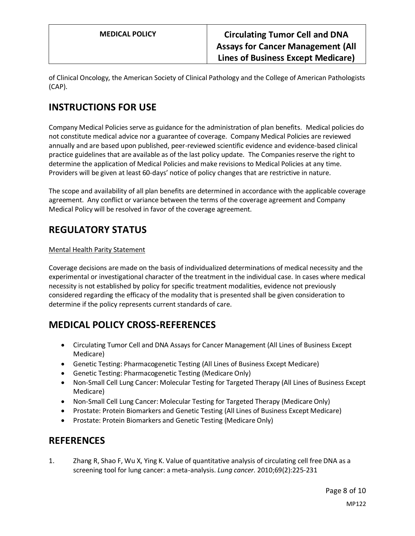**MEDICAL POLICY Circulating Tumor Cell and DNA Assays for Cancer Management (All Lines of Business Except Medicare)**

of Clinical Oncology, the American Society of Clinical Pathology and the College of American Pathologists (CAP).

# **INSTRUCTIONS FOR USE**

Company Medical Policies serve as guidance for the administration of plan benefits. Medical policies do not constitute medical advice nor a guarantee of coverage. Company Medical Policies are reviewed annually and are based upon published, peer-reviewed scientific evidence and evidence-based clinical practice guidelines that are available as of the last policy update. The Companies reserve the right to determine the application of Medical Policies and make revisions to Medical Policies at any time. Providers will be given at least 60-days' notice of policy changes that are restrictive in nature.

The scope and availability of all plan benefits are determined in accordance with the applicable coverage agreement. Any conflict or variance between the terms of the coverage agreement and Company Medical Policy will be resolved in favor of the coverage agreement.

### **REGULATORY STATUS**

#### Mental Health Parity Statement

Coverage decisions are made on the basis of individualized determinations of medical necessity and the experimental or investigational character of the treatment in the individual case. In cases where medical necessity is not established by policy for specific treatment modalities, evidence not previously considered regarding the efficacy of the modality that is presented shall be given consideration to determine if the policy represents current standards of care.

# <span id="page-7-0"></span>**MEDICAL POLICY CROSS-REFERENCES**

- Circulating Tumor Cell and DNA Assays for Cancer Management (All Lines of Business Except Medicare)
- Genetic Testing: Pharmacogenetic Testing (All Lines of Business Except Medicare)
- Genetic Testing: Pharmacogenetic Testing (Medicare Only)
- Non-Small Cell Lung Cancer: Molecular Testing for Targeted Therapy (All Lines of Business Except Medicare)
- Non-Small Cell Lung Cancer: Molecular Testing for Targeted Therapy (Medicare Only)
- Prostate: Protein Biomarkers and Genetic Testing (All Lines of Business Except Medicare)
- Prostate: Protein Biomarkers and Genetic Testing (Medicare Only)

### **REFERENCES**

1. Zhang R, Shao F, Wu X, Ying K. Value of quantitative analysis of circulating cell free DNA as a screening tool for lung cancer: a meta-analysis. *Lung cancer.* 2010;69(2):225-231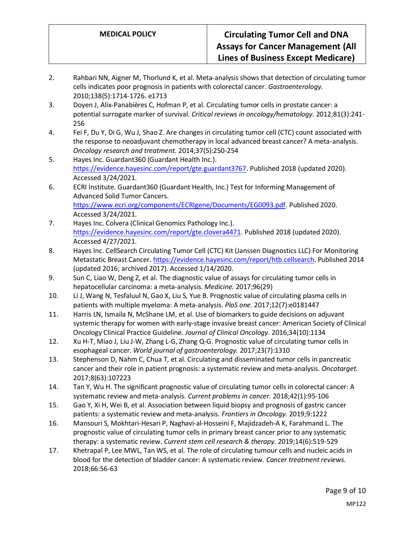- 2. Rahbari NN, Aigner M, Thorlund K, et al. Meta-analysis shows that detection of circulating tumor cells indicates poor prognosis in patients with colorectal cancer. *Gastroenterology.*  2010;138(5):1714-1726. e1713
- 3. Doyen J, Alix-Panabières C, Hofman P, et al. Circulating tumor cells in prostate cancer: a potential surrogate marker of survival. *Critical reviews in oncology/hematology.* 2012;81(3):241- 256
- 4. Fei F, Du Y, Di G, Wu J, Shao Z. Are changes in circulating tumor cell (CTC) count associated with the response to neoadjuvant chemotherapy in local advanced breast cancer? A meta-analysis. *Oncology research and treatment.* 2014;37(5):250-254
- 5. Hayes Inc. Guardant360 (Guardant Health Inc.). [https://evidence.hayesinc.com/report/gte.guardant3767.](https://evidence.hayesinc.com/report/gte.guardant3767) Published 2018 (updated 2020). Accessed 3/24/2021.
- 6. ECRI Institute. Guardant360 (Guardant Health, Inc.) Test for Informing Management of Advanced Solid Tumor Cancers. [https://www.ecri.org/components/ECRIgene/Documents/EG0093.pdf.](https://www.ecri.org/components/ECRIgene/Documents/EG0093.pdf) Published 2020. Accessed 3/24/2021.
- 7. Hayes Inc. Colvera (Clinical Genomics Pathology Inc.). [https://evidence.hayesinc.com/report/gte.clovera4471.](https://evidence.hayesinc.com/report/gte.clovera4471) Published 2018 (updated 2020). Accessed 4/27/2021.
- 8. Hayes Inc. CellSearch Circulating Tumor Cell (CTC) Kit (Janssen Diagnostics LLC) For Monitoring Metastatic Breast Cancer[. https://evidence.hayesinc.com/report/htb.cellsearch.](https://evidence.hayesinc.com/report/htb.cellsearch) Published 2014 (updated 2016; archived 2017). Accessed 1/14/2020.
- 9. Sun C, Liao W, Deng Z, et al. The diagnostic value of assays for circulating tumor cells in hepatocellular carcinoma: a meta-analysis. *Medicine.* 2017;96(29)
- 10. Li J, Wang N, Tesfaluul N, Gao X, Liu S, Yue B. Prognostic value of circulating plasma cells in patients with multiple myeloma: A meta-analysis. *PloS one.* 2017;12(7):e0181447
- 11. Harris LN, Ismaila N, McShane LM, et al. Use of biomarkers to guide decisions on adjuvant systemic therapy for women with early-stage invasive breast cancer: American Society of Clinical Oncology Clinical Practice Guideline. *Journal of Clinical Oncology.* 2016;34(10):1134
- 12. Xu H-T, Miao J, Liu J-W, Zhang L-G, Zhang Q-G. Prognostic value of circulating tumor cells in esophageal cancer. *World journal of gastroenterology.* 2017;23(7):1310
- 13. Stephenson D, Nahm C, Chua T, et al. Circulating and disseminated tumor cells in pancreatic cancer and their role in patient prognosis: a systematic review and meta-analysis. *Oncotarget.*  2017;8(63):107223
- 14. Tan Y, Wu H. The significant prognostic value of circulating tumor cells in colorectal cancer: A systematic review and meta-analysis. *Current problems in cancer.* 2018;42(1):95-106
- 15. Gao Y, Xi H, Wei B, et al. Association between liquid biopsy and prognosis of gastric cancer patients: a systematic review and meta-analysis. *Frontiers in Oncology.* 2019;9:1222
- 16. Mansouri S, Mokhtari-Hesari P, Naghavi-al-Hosseini F, Majidzadeh-A K, Farahmand L. The prognostic value of circulating tumor cells in primary breast cancer prior to any systematic therapy: a systematic review. *Current stem cell research & therapy.* 2019;14(6):519-529
- 17. Khetrapal P, Lee MWL, Tan WS, et al. The role of circulating tumour cells and nucleic acids in blood for the detection of bladder cancer: A systematic review. *Cancer treatment reviews.*  2018;66:56-63